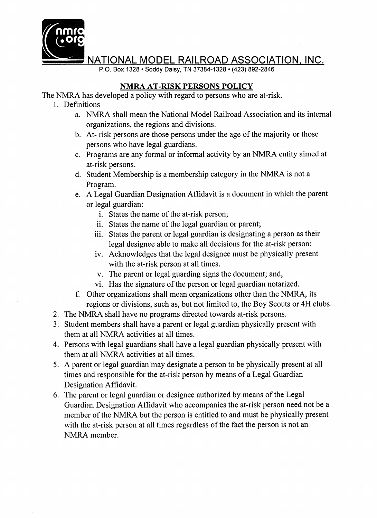

NATIONAL MODEL RAILROAD ASSOCIATION, lNC.

P.O. Box 1328 · Soddy Daisy, TN 37384-1328 · (423) 892-2846

## NMRA AT-RISK PERSONS POLICY

The NMRA has developed a policy with regard to persons who are at-risk.

- 1. Definitions
	- a. NMRA shall mean the National Model Railroad Association and its internal organizations, the regions and divisions.
	- b. At-risk persons are those persons under the age of the majority or those persons who have legal guardians.
	- c. Programs are any formal or informal activity by an NMRA entity aimed at at-risk persons.
	- d. Student Membership is a membership category in the NMRA is not a Program.
	- e. A Legal Guardian Designation Affidavit is a document in which the parent or legal guardian:
		- i. States the name of the at-risk person;
		- ii. States the name of the legal guardian or parent;
		- iii. States the parent or legal guardian is designating a person as their legal designee able to make all decisions for the at-risk person;
		- iv. Acknowledges that the legal designee must be physically present with the at-risk person at all times.
		- v. The parent or legal guarding signs the document; and,
		- vi. Has the signature of the person or legal guardian notarized.
	- f. Other organizations shall mean organizations other than the NMRA, its regions or divisions, such as, but not limited to, the Boy Scouts or 4H clubs.
- 2. The NMRA shall have no programs directed towards at-risk persons.
- 3. Student members shall have a parent or legal guardian physically present with them at all NMRA activities at all times.
- 4. Persons with legal guardians shall have a legal guardian physically present with them at all NMRA activities at all times.
- 5. A parent or legal guardian may designate a person to be physically present at all times and responsible for the at-risk person by means of a Legal Guardian Designation Affidavit.
- 6. The parent or legal guardian or designee authorized by means of the Legal Guardian Designation Affidavit who accompanies the at-risk person need not be a member of the NMRA but the person is entitled to and must be physically present with the at-risk person at all times regardless of the fact the person is not an NMRA member.